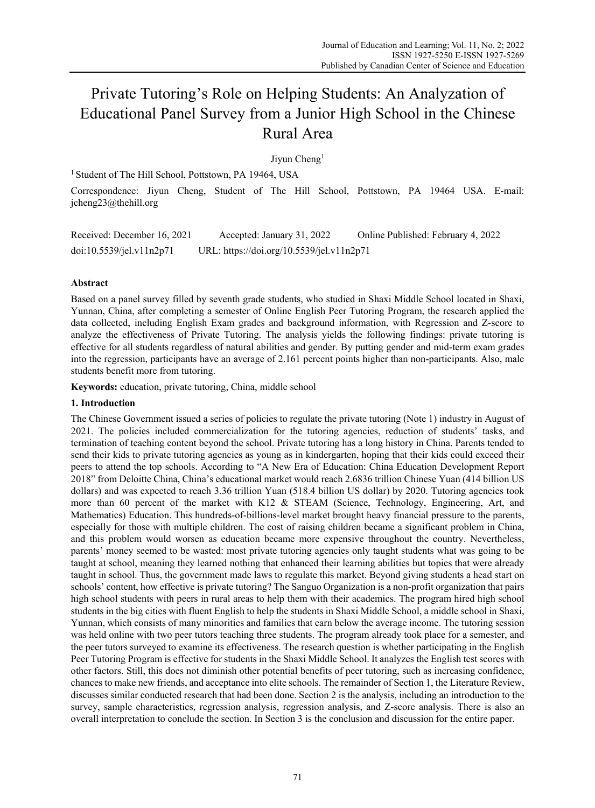# Private Tutoring's Role on Helping Students: An Analyzation of Educational Panel Survey from a Junior High School in the Chinese Rural Area

# Jiyun Cheng<sup>1</sup>

<sup>1</sup> Student of The Hill School, Pottstown, PA 19464, USA

Correspondence: Jiyun Cheng, Student of The Hill School, Pottstown, PA 19464 USA. E-mail: jcheng23@thehill.org

Received: December 16, 2021 Accepted: January 31, 2022 Online Published: February 4, 2022 doi:10.5539/jel.v11n2p71 URL: https://doi.org/10.5539/jel.v11n2p71

# **Abstract**

Based on a panel survey filled by seventh grade students, who studied in Shaxi Middle School located in Shaxi, Yunnan, China, after completing a semester of Online English Peer Tutoring Program, the research applied the data collected, including English Exam grades and background information, with Regression and Z-score to analyze the effectiveness of Private Tutoring. The analysis yields the following findings: private tutoring is effective for all students regardless of natural abilities and gender. By putting gender and mid-term exam grades into the regression, participants have an average of 2.161 percent points higher than non-participants. Also, male students benefit more from tutoring.

**Keywords:** education, private tutoring, China, middle school

# **1. Introduction**

The Chinese Government issued a series of policies to regulate the private tutoring (Note 1) industry in August of 2021. The policies included commercialization for the tutoring agencies, reduction of students' tasks, and termination of teaching content beyond the school. Private tutoring has a long history in China. Parents tended to send their kids to private tutoring agencies as young as in kindergarten, hoping that their kids could exceed their peers to attend the top schools. According to "A New Era of Education: China Education Development Report 2018" from Deloitte China, China's educational market would reach 2.6836 trillion Chinese Yuan (414 billion US dollars) and was expected to reach 3.36 trillion Yuan (518.4 billion US dollar) by 2020. Tutoring agencies took more than 60 percent of the market with K12 & STEAM (Science, Technology, Engineering, Art, and Mathematics) Education. This hundreds-of-billions-level market brought heavy financial pressure to the parents, especially for those with multiple children. The cost of raising children became a significant problem in China, and this problem would worsen as education became more expensive throughout the country. Nevertheless, parents' money seemed to be wasted: most private tutoring agencies only taught students what was going to be taught at school, meaning they learned nothing that enhanced their learning abilities but topics that were already taught in school. Thus, the government made laws to regulate this market. Beyond giving students a head start on schools' content, how effective is private tutoring? The Sanguo Organization is a non-profit organization that pairs high school students with peers in rural areas to help them with their academics. The program hired high school students in the big cities with fluent English to help the students in Shaxi Middle School, a middle school in Shaxi, Yunnan, which consists of many minorities and families that earn below the average income. The tutoring session was held online with two peer tutors teaching three students. The program already took place for a semester, and the peer tutors surveyed to examine its effectiveness. The research question is whether participating in the English Peer Tutoring Program is effective for students in the Shaxi Middle School. It analyzes the English test scores with other factors. Still, this does not diminish other potential benefits of peer tutoring, such as increasing confidence, chances to make new friends, and acceptance into elite schools. The remainder of Section 1, the Literature Review, discusses similar conducted research that had been done. Section 2 is the analysis, including an introduction to the survey, sample characteristics, regression analysis, regression analysis, and Z-score analysis. There is also an overall interpretation to conclude the section. In Section 3 is the conclusion and discussion for the entire paper.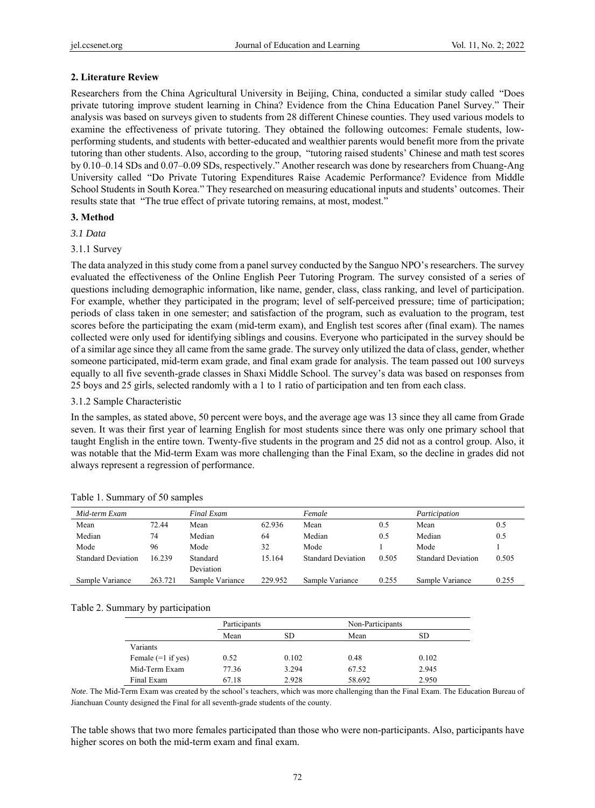# **2. Literature Review**

Researchers from the China Agricultural University in Beijing, China, conducted a similar study called "Does private tutoring improve student learning in China? Evidence from the China Education Panel Survey." Their analysis was based on surveys given to students from 28 different Chinese counties. They used various models to examine the effectiveness of private tutoring. They obtained the following outcomes: Female students, lowperforming students, and students with better-educated and wealthier parents would benefit more from the private tutoring than other students. Also, according to the group, "tutoring raised students' Chinese and math test scores by 0.10–0.14 SDs and 0.07–0.09 SDs, respectively." Another research was done by researchers from Chuang-Ang University called "Do Private Tutoring Expenditures Raise Academic Performance? Evidence from Middle School Students in South Korea." They researched on measuring educational inputs and students' outcomes. Their results state that "The true effect of private tutoring remains, at most, modest."

# **3. Method**

*3.1 Data* 

# 3.1.1 Survey

The data analyzed in this study come from a panel survey conducted by the Sanguo NPO's researchers. The survey evaluated the effectiveness of the Online English Peer Tutoring Program. The survey consisted of a series of questions including demographic information, like name, gender, class, class ranking, and level of participation. For example, whether they participated in the program; level of self-perceived pressure; time of participation; periods of class taken in one semester; and satisfaction of the program, such as evaluation to the program, test scores before the participating the exam (mid-term exam), and English test scores after (final exam). The names collected were only used for identifying siblings and cousins. Everyone who participated in the survey should be of a similar age since they all came from the same grade. The survey only utilized the data of class, gender, whether someone participated, mid-term exam grade, and final exam grade for analysis. The team passed out 100 surveys equally to all five seventh-grade classes in Shaxi Middle School. The survey's data was based on responses from 25 boys and 25 girls, selected randomly with a 1 to 1 ratio of participation and ten from each class.

# 3.1.2 Sample Characteristic

In the samples, as stated above, 50 percent were boys, and the average age was 13 since they all came from Grade seven. It was their first year of learning English for most students since there was only one primary school that taught English in the entire town. Twenty-five students in the program and 25 did not as a control group. Also, it was notable that the Mid-term Exam was more challenging than the Final Exam, so the decline in grades did not always represent a regression of performance.

| Mid-term Exam      |         | <b>Final Exam</b> |         | Female             |       | Participation             |       |
|--------------------|---------|-------------------|---------|--------------------|-------|---------------------------|-------|
| Mean               | 72.44   | Mean              | 62.936  | Mean               | 0.5   | Mean                      | 0.5   |
| Median             | 74      | Median            | 64      | Median             | 0.5   | Median                    | 0.5   |
| Mode               | 96      | Mode              | 32      | Mode               |       | Mode                      |       |
| Standard Deviation | 16.239  | Standard          | 15.164  | Standard Deviation | 0.505 | <b>Standard Deviation</b> | 0.505 |
|                    |         | Deviation         |         |                    |       |                           |       |
| Sample Variance    | 263.721 | Sample Variance   | 229.952 | Sample Variance    | 0.255 | Sample Variance           | 0.255 |

Table 1. Summary of 50 samples

# Table 2. Summary by participation

|                      | Participants |       | Non-Participants |       |
|----------------------|--------------|-------|------------------|-------|
|                      | Mean         | SD    | Mean             | SD.   |
| Variants             |              |       |                  |       |
| Female $(=1$ if yes) | 0.52         | 0.102 | 0.48             | 0.102 |
| Mid-Term Exam        | 77.36        | 3.294 | 67.52            | 2.945 |
| Final Exam           | 67.18        | 2.928 | 58.692           | 2.950 |

*Note*. The Mid-Term Exam was created by the school's teachers, which was more challenging than the Final Exam. The Education Bureau of Jianchuan County designed the Final for all seventh-grade students of the county.

The table shows that two more females participated than those who were non-participants. Also, participants have higher scores on both the mid-term exam and final exam.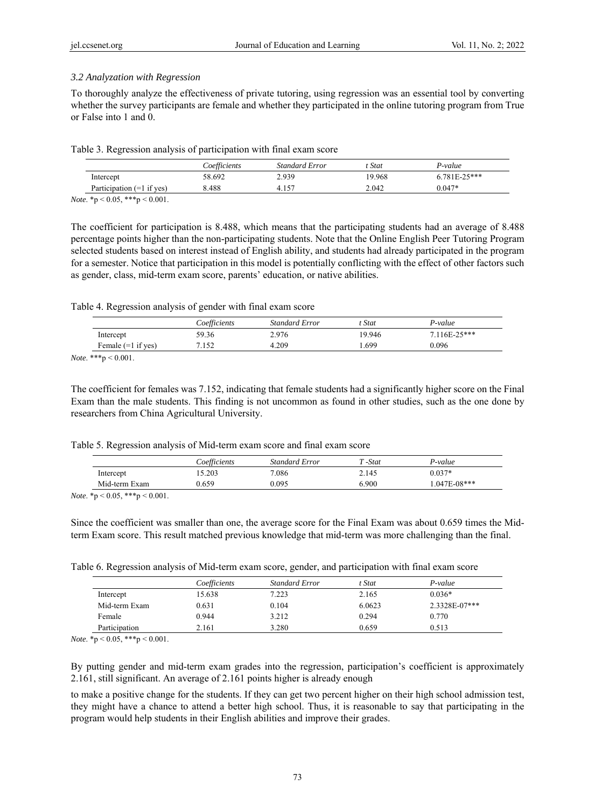# *3.2 Analyzation with Regression*

To thoroughly analyze the effectiveness of private tutoring, using regression was an essential tool by converting whether the survey participants are female and whether they participated in the online tutoring program from True or False into 1 and 0.

Table 3. Regression analysis of participation with final exam score

|                             | Coefficients | Standard Error | Stat   | P-value          |
|-----------------------------|--------------|----------------|--------|------------------|
| Intercept                   | 58.692       | 2.939          | 19.968 | $6.781E - 25***$ |
| Participation $(=1$ if yes) | 8.488        | 4.157          | 2.042  | $0.047*$         |

*Note*. \*p < 0.05, \*\*\*p < 0.001.

The coefficient for participation is 8.488, which means that the participating students had an average of 8.488 percentage points higher than the non-participating students. Note that the Online English Peer Tutoring Program selected students based on interest instead of English ability, and students had already participated in the program for a semester. Notice that participation in this model is potentially conflicting with the effect of other factors such as gender, class, mid-term exam score, parents' education, or native abilities.

Table 4. Regression analysis of gender with final exam score

|                      | Coefficients | Standard Error | t Stat | P-value        |
|----------------------|--------------|----------------|--------|----------------|
| Intercept            | 59.36        | 2.976          | 19.946 | $7.116E-25***$ |
| Female $(=1$ if yes) | 7.152        | 4.209          | .699   | 0.096          |

*Note*. \*\*\*p < 0.001.

The coefficient for females was 7.152, indicating that female students had a significantly higher score on the Final Exam than the male students. This finding is not uncommon as found in other studies, such as the one done by researchers from China Agricultural University.

Table 5. Regression analysis of Mid-term exam score and final exam score

|               | Coefficients | <b>Standard Error</b> | $T$ -Stat | P-value      |
|---------------|--------------|-----------------------|-----------|--------------|
| Intercept     | 5.203        | 7.086                 | 2.145     | $0.037*$     |
| Mid-term Exam | 0.659        | 0.095                 | 6.900     | 1.047E-08*** |

*Note*. \*p < 0.05, \*\*\*p < 0.001.

Since the coefficient was smaller than one, the average score for the Final Exam was about 0.659 times the Midterm Exam score. This result matched previous knowledge that mid-term was more challenging than the final.

| Table 6. Regression analysis of Mid-term exam score, gender, and participation with final exam score |  |  |
|------------------------------------------------------------------------------------------------------|--|--|
|                                                                                                      |  |  |

|               | Coefficients | <b>Standard Error</b> | t Stat | $P-value$     |
|---------------|--------------|-----------------------|--------|---------------|
| Intercept     | 15.638       | 7.223                 | 2.165  | $0.036*$      |
| Mid-term Exam | 0.631        | 0.104                 | 6.0623 | 2.3328E-07*** |
| Female        | 0.944        | 3.212                 | 0.294  | 0.770         |
| Participation | 2.161        | 3.280                 | 0.659  | 0.513         |

*Note*. \*p < 0.05, \*\*\*p < 0.001.

By putting gender and mid-term exam grades into the regression, participation's coefficient is approximately 2.161, still significant. An average of 2.161 points higher is already enough

to make a positive change for the students. If they can get two percent higher on their high school admission test, they might have a chance to attend a better high school. Thus, it is reasonable to say that participating in the program would help students in their English abilities and improve their grades.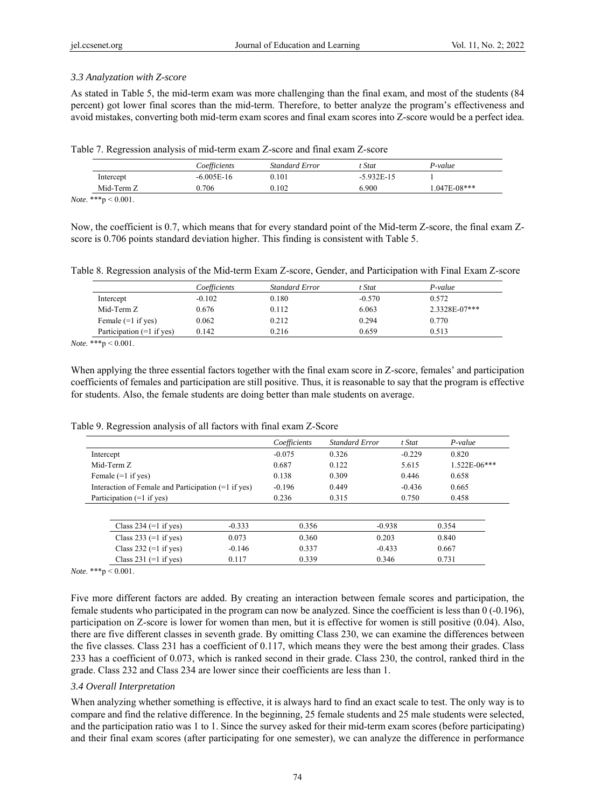# *3.3 Analyzation with Z-score*

As stated in Table 5, the mid-term exam was more challenging than the final exam, and most of the students (84 percent) got lower final scores than the mid-term. Therefore, to better analyze the program's effectiveness and avoid mistakes, converting both mid-term exam scores and final exam scores into Z-score would be a perfect idea.

Table 7. Regression analysis of mid-term exam Z-score and final exam Z-score

|            | Coefficients | <b>Standard Error</b> | t Stat       | P-value          |
|------------|--------------|-----------------------|--------------|------------------|
| Intercept  | $-6.005E-16$ | 0.101                 | $-5.932E-15$ |                  |
| Mid-Term Z | 0.706        | 0.102                 | 6.900        | $1.047E - 08***$ |

*Note*. \*\*\*p < 0.001.

Now, the coefficient is 0.7, which means that for every standard point of the Mid-term Z-score, the final exam Zscore is 0.706 points standard deviation higher. This finding is consistent with Table 5.

Table 8. Regression analysis of the Mid-term Exam Z-score, Gender, and Participation with Final Exam Z-score

|                             | Coefficients | <b>Standard Error</b> | t Stat   | P-value       |
|-----------------------------|--------------|-----------------------|----------|---------------|
| Intercept                   | $-0.102$     | 0.180                 | $-0.570$ | 0.572         |
| Mid-Term Z                  | 0.676        | 0.112                 | 6.063    | 2.3328E-07*** |
| Female $(=1$ if yes)        | 0.062        | 0.212                 | 0.294    | 0.770         |
| Participation $(=1$ if yes) | 0.142        | 0.216                 | 0.659    | 0.513         |

*Note*. \*\*\*p < 0.001.

When applying the three essential factors together with the final exam score in Z-score, females' and participation coefficients of females and participation are still positive. Thus, it is reasonable to say that the program is effective for students. Also, the female students are doing better than male students on average.

|                                                       |          | Coefficients | <b>Standard Error</b> | t Stat   | $P-value$        |
|-------------------------------------------------------|----------|--------------|-----------------------|----------|------------------|
| Intercept                                             |          | $-0.075$     | 0.326                 | $-0.229$ | 0.820            |
| Mid-Term Z                                            |          | 0.687        | 0.122                 | 5.615    | $1.522E - 06***$ |
| Female $(=1$ if yes)                                  |          | 0.138        | 0.309                 | 0.446    | 0.658            |
| Interaction of Female and Participation $(=1$ if yes) |          | $-0.196$     | 0.449                 | $-0.436$ | 0.665            |
| Participation $(=1$ if yes)                           |          | 0.236        | 0.315                 | 0.750    | 0.458            |
|                                                       |          |              |                       |          |                  |
| Class 234 $(=1$ if yes)                               | $-0.333$ | 0.356        |                       | $-0.938$ | 0.354            |
| Class 233 $(=1$ if yes)                               | 0.073    | 0.360        |                       | 0.203    | 0.840            |
| Class 232 $(=1$ if yes)                               | $-0.146$ | 0.337        |                       | $-0.433$ | 0.667            |
| Class 231 $(=1$ if yes)                               | 0.117    | 0.339        |                       | 0.346    | 0.731            |

Table 9. Regression analysis of all factors with final exam Z-Score

*Note*. \*\*\*p < 0.001.

Five more different factors are added. By creating an interaction between female scores and participation, the female students who participated in the program can now be analyzed. Since the coefficient is less than 0 (-0.196), participation on Z-score is lower for women than men, but it is effective for women is still positive (0.04). Also, there are five different classes in seventh grade. By omitting Class 230, we can examine the differences between the five classes. Class 231 has a coefficient of 0.117, which means they were the best among their grades. Class 233 has a coefficient of 0.073, which is ranked second in their grade. Class 230, the control, ranked third in the grade. Class 232 and Class 234 are lower since their coefficients are less than 1.

#### *3.4 Overall Interpretation*

When analyzing whether something is effective, it is always hard to find an exact scale to test. The only way is to compare and find the relative difference. In the beginning, 25 female students and 25 male students were selected, and the participation ratio was 1 to 1. Since the survey asked for their mid-term exam scores (before participating) and their final exam scores (after participating for one semester), we can analyze the difference in performance